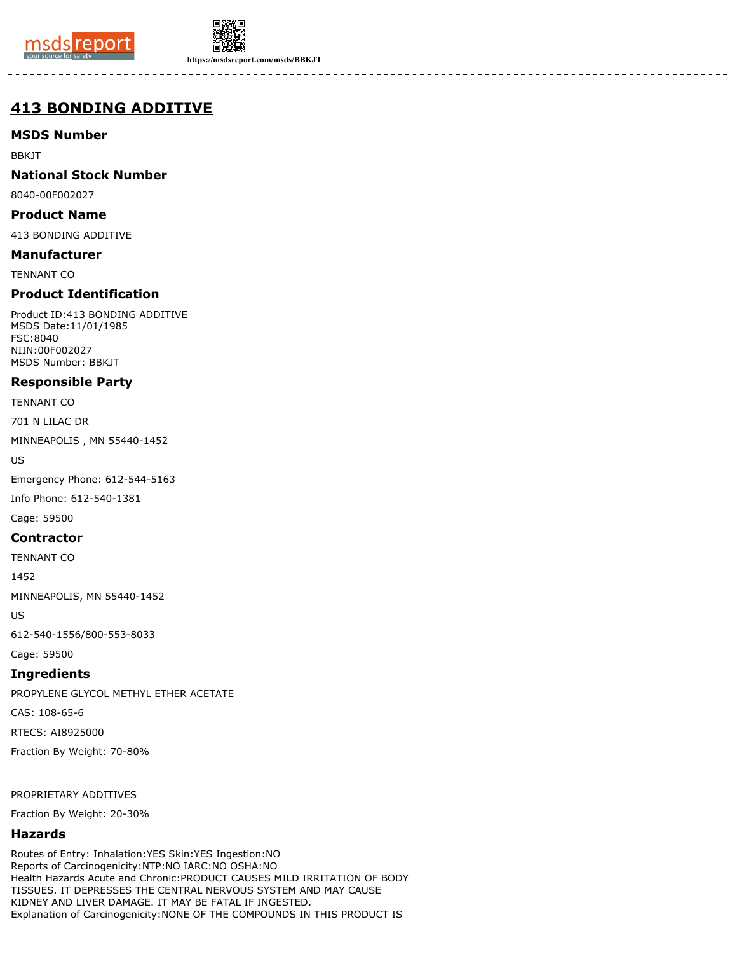



**https://msdsreport.com/msds/BBKJT**

# **413 BONDING ADDITIVE**

### **MSDS Number**

BBKJT

### **National Stock Number**

8040-00F002027

### **Product Name**

413 BONDING ADDITIVE

### **Manufacturer**

TENNANT CO

### **Product Identification**

Product ID:413 BONDING ADDITIVE MSDS Date:11/01/1985 FSC:8040 NIIN:00F002027 MSDS Number: BBKJT

### **Responsible Party**

TENNANT CO

701 N LILAC DR

MINNEAPOLIS , MN 55440-1452

US

Emergency Phone: 612-544-5163

Info Phone: 612-540-1381

Cage: 59500

### **Contractor**

TENNANT CO

1452

MINNEAPOLIS, MN 55440-1452

US

612-540-1556/800-553-8033 Cage: 59500

# **Ingredients**

PROPYLENE GLYCOL METHYL ETHER ACETATE

CAS: 108-65-6

RTECS: AI8925000

Fraction By Weight: 70-80%

PROPRIETARY ADDITIVES

Fraction By Weight: 20-30%

## **Hazards**

Routes of Entry: Inhalation:YES Skin:YES Ingestion:NO Reports of Carcinogenicity:NTP:NO IARC:NO OSHA:NO Health Hazards Acute and Chronic:PRODUCT CAUSES MILD IRRITATION OF BODY TISSUES. IT DEPRESSES THE CENTRAL NERVOUS SYSTEM AND MAY CAUSE KIDNEY AND LIVER DAMAGE. IT MAY BE FATAL IF INGESTED. Explanation of Carcinogenicity:NONE OF THE COMPOUNDS IN THIS PRODUCT IS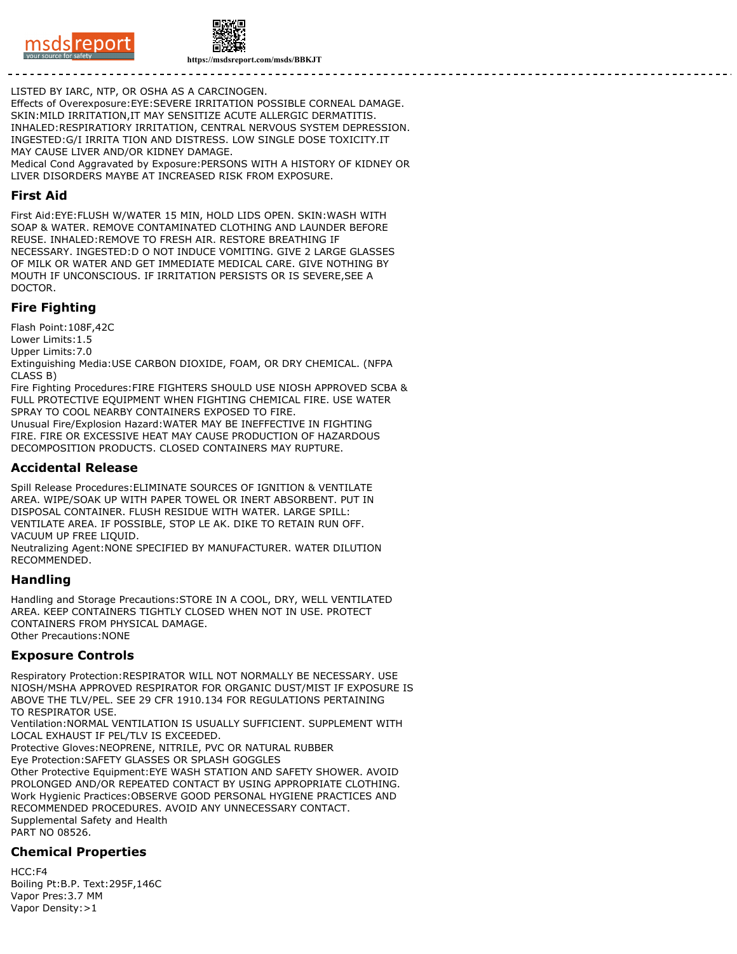



**https://msdsreport.com/msds/BBKJT**

LISTED BY IARC, NTP, OR OSHA AS A CARCINOGEN.

Effects of Overexposure:EYE:SEVERE IRRITATION POSSIBLE CORNEAL DAMAGE. SKIN:MILD IRRITATION,IT MAY SENSITIZE ACUTE ALLERGIC DERMATITIS. INHALED:RESPIRATIORY IRRITATION, CENTRAL NERVOUS SYSTEM DEPRESSION. INGESTED:G/I IRRITA TION AND DISTRESS. LOW SINGLE DOSE TOXICITY.IT MAY CAUSE LIVER AND/OR KIDNEY DAMAGE. Medical Cond Aggravated by Exposure:PERSONS WITH A HISTORY OF KIDNEY OR LIVER DISORDERS MAYBE AT INCREASED RISK FROM EXPOSURE.

#### **First Aid**

First Aid:EYE:FLUSH W/WATER 15 MIN, HOLD LIDS OPEN. SKIN:WASH WITH SOAP & WATER. REMOVE CONTAMINATED CLOTHING AND LAUNDER BEFORE REUSE. INHALED:REMOVE TO FRESH AIR. RESTORE BREATHING IF NECESSARY. INGESTED:D O NOT INDUCE VOMITING. GIVE 2 LARGE GLASSES OF MILK OR WATER AND GET IMMEDIATE MEDICAL CARE. GIVE NOTHING BY MOUTH IF UNCONSCIOUS. IF IRRITATION PERSISTS OR IS SEVERE,SEE A DOCTOR.

### **Fire Fighting**

Flash Point:108F,42C

Lower Limits:1.5

Upper Limits:7.0

Extinguishing Media:USE CARBON DIOXIDE, FOAM, OR DRY CHEMICAL. (NFPA CLASS B)

Fire Fighting Procedures:FIRE FIGHTERS SHOULD USE NIOSH APPROVED SCBA & FULL PROTECTIVE EQUIPMENT WHEN FIGHTING CHEMICAL FIRE. USE WATER SPRAY TO COOL NEARBY CONTAINERS EXPOSED TO FIRE. Unusual Fire/Explosion Hazard:WATER MAY BE INEFFECTIVE IN FIGHTING FIRE. FIRE OR EXCESSIVE HEAT MAY CAUSE PRODUCTION OF HAZARDOUS DECOMPOSITION PRODUCTS. CLOSED CONTAINERS MAY RUPTURE.

### **Accidental Release**

Spill Release Procedures:ELIMINATE SOURCES OF IGNITION & VENTILATE AREA. WIPE/SOAK UP WITH PAPER TOWEL OR INERT ABSORBENT. PUT IN DISPOSAL CONTAINER. FLUSH RESIDUE WITH WATER. LARGE SPILL: VENTILATE AREA. IF POSSIBLE, STOP LE AK. DIKE TO RETAIN RUN OFF. VACUUM UP FREE LIQUID.

Neutralizing Agent:NONE SPECIFIED BY MANUFACTURER. WATER DILUTION RECOMMENDED.

### **Handling**

Handling and Storage Precautions:STORE IN A COOL, DRY, WELL VENTILATED AREA. KEEP CONTAINERS TIGHTLY CLOSED WHEN NOT IN USE. PROTECT CONTAINERS FROM PHYSICAL DAMAGE. Other Precautions:NONE

### **Exposure Controls**

Respiratory Protection:RESPIRATOR WILL NOT NORMALLY BE NECESSARY. USE NIOSH/MSHA APPROVED RESPIRATOR FOR ORGANIC DUST/MIST IF EXPOSURE IS ABOVE THE TLV/PEL. SEE 29 CFR 1910.134 FOR REGULATIONS PERTAINING TO RESPIRATOR USE.

Ventilation:NORMAL VENTILATION IS USUALLY SUFFICIENT. SUPPLEMENT WITH LOCAL EXHAUST IF PEL/TLV IS EXCEEDED.

Protective Gloves:NEOPRENE, NITRILE, PVC OR NATURAL RUBBER

Eye Protection:SAFETY GLASSES OR SPLASH GOGGLES

Other Protective Equipment:EYE WASH STATION AND SAFETY SHOWER. AVOID PROLONGED AND/OR REPEATED CONTACT BY USING APPROPRIATE CLOTHING. Work Hygienic Practices:OBSERVE GOOD PERSONAL HYGIENE PRACTICES AND RECOMMENDED PROCEDURES. AVOID ANY UNNECESSARY CONTACT. Supplemental Safety and Health PART NO 08526.

### **Chemical Properties**

 $HCC·F4$ Boiling Pt:B.P. Text:295F,146C Vapor Pres:3.7 MM Vapor Density:>1